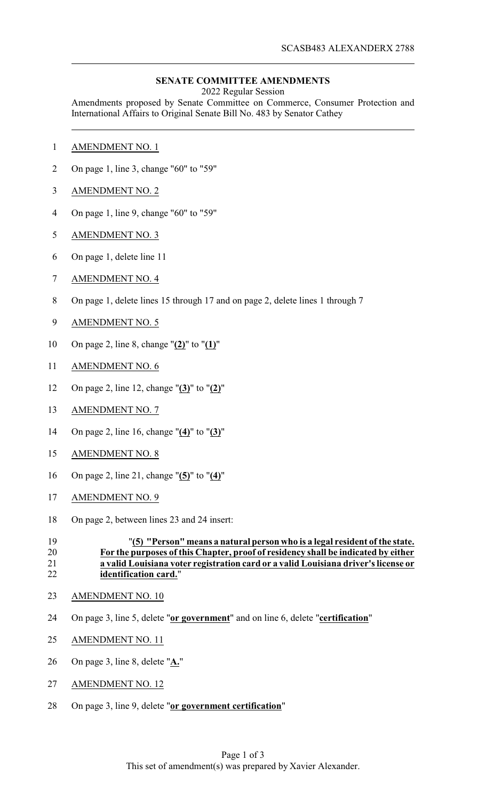## **SENATE COMMITTEE AMENDMENTS**

2022 Regular Session

Amendments proposed by Senate Committee on Commerce, Consumer Protection and International Affairs to Original Senate Bill No. 483 by Senator Cathey

- AMENDMENT NO. 1
- On page 1, line 3, change "60" to "59"
- AMENDMENT NO. 2
- On page 1, line 9, change "60" to "59"
- AMENDMENT NO. 3
- On page 1, delete line 11
- AMENDMENT NO. 4
- On page 1, delete lines 15 through 17 and on page 2, delete lines 1 through 7
- AMENDMENT NO. 5
- On page 2, line 8, change "**(2)**" to "**(1)**"
- AMENDMENT NO. 6
- On page 2, line 12, change "**(3)**" to "**(2)**"
- AMENDMENT NO. 7
- On page 2, line 16, change "**(4)**" to "**(3)**"
- AMENDMENT NO. 8
- On page 2, line 21, change "**(5)**" to "**(4)**"
- AMENDMENT NO. 9
- On page 2, between lines 23 and 24 insert:

## "**(5) "Person" means a natural person who is a legal resident of the state. For the purposes of this Chapter, proof of residency shall be indicated by either a valid Louisiana voter registration card or a valid Louisiana driver's license or identification card.**"

- AMENDMENT NO. 10
- On page 3, line 5, delete "**or government**" and on line 6, delete "**certification**"
- AMENDMENT NO. 11
- On page 3, line 8, delete "**A.**"
- AMENDMENT NO. 12
- On page 3, line 9, delete "**or government certification**"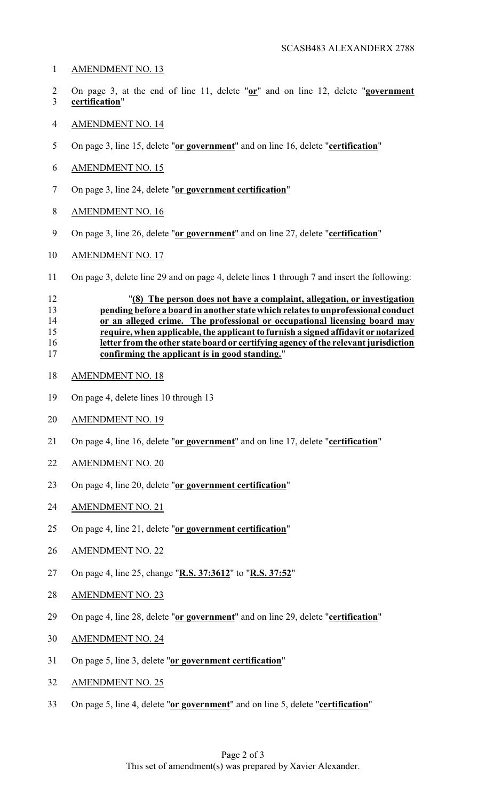- AMENDMENT NO. 13
- On page 3, at the end of line 11, delete "**or**" and on line 12, delete "**government certification**"
- AMENDMENT NO. 14
- On page 3, line 15, delete "**or government**" and on line 16, delete "**certification**"
- AMENDMENT NO. 15
- On page 3, line 24, delete "**or government certification**"
- AMENDMENT NO. 16
- On page 3, line 26, delete "**or government**" and on line 27, delete "**certification**"
- AMENDMENT NO. 17
- On page 3, delete line 29 and on page 4, delete lines 1 through 7 and insert the following:

## "**(8) The person does not have a complaint, allegation, or investigation pending before a board in another state which relates to unprofessional conduct 14 or an alleged crime.** The professional or occupational licensing board may<br>15 **coupled require**, when applicable, the applicant to furnish a signed affidavit or notarized **require, when applicable, the applicant to furnish a signed affidavit ornotarized letter from the other state board or certifying agency of the relevant jurisdiction confirming the applicant is in good standing.**"

- AMENDMENT NO. 18
- On page 4, delete lines 10 through 13
- AMENDMENT NO. 19
- On page 4, line 16, delete "**or government**" and on line 17, delete "**certification**"
- AMENDMENT NO. 20
- On page 4, line 20, delete "**or government certification**"
- AMENDMENT NO. 21
- On page 4, line 21, delete "**or government certification**"
- AMENDMENT NO. 22
- On page 4, line 25, change "**R.S. 37:3612**" to "**R.S. 37:52**"
- AMENDMENT NO. 23
- On page 4, line 28, delete "**or government**" and on line 29, delete "**certification**"
- AMENDMENT NO. 24
- On page 5, line 3, delete "**or government certification**"
- AMENDMENT NO. 25
- On page 5, line 4, delete "**or government**" and on line 5, delete "**certification**"